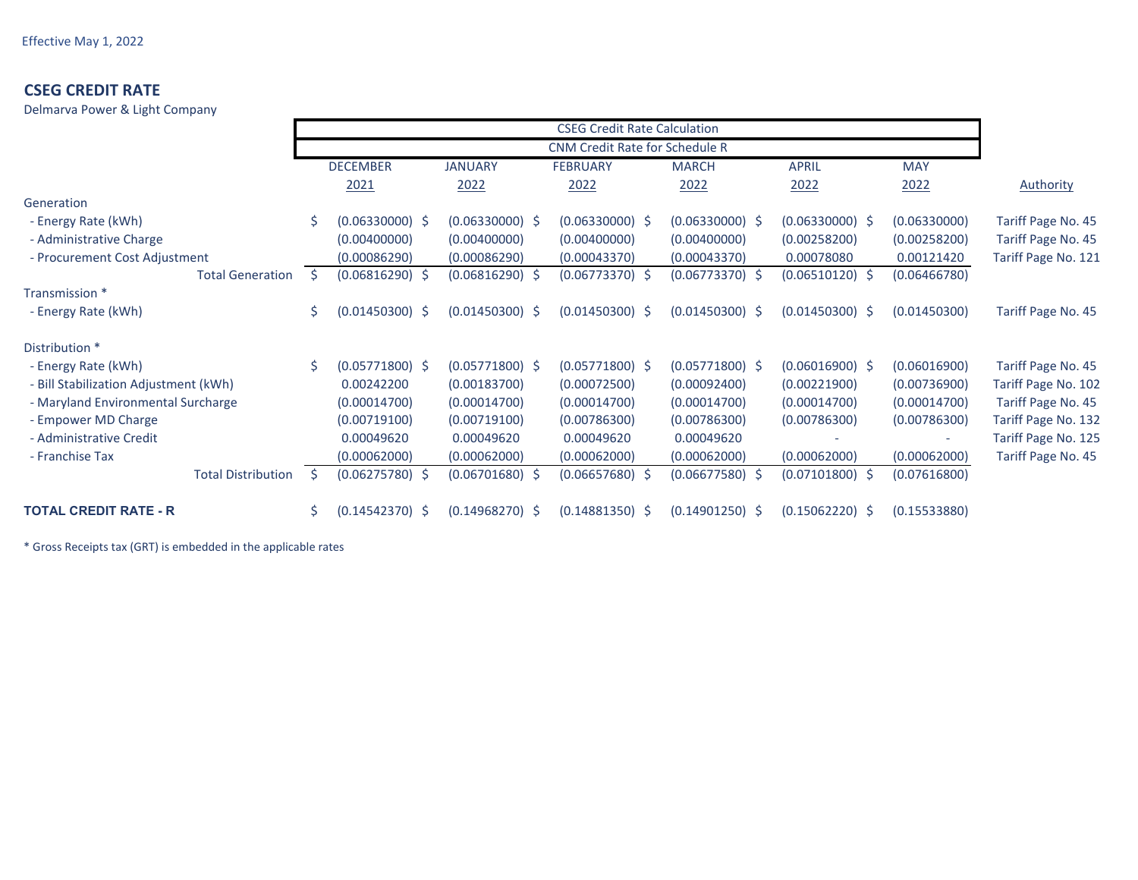Delmarva Power & Light Company

|                                       | <b>CSEG Credit Rate Calculation</b> |                   |                   |                   |                   |                   |              |                     |
|---------------------------------------|-------------------------------------|-------------------|-------------------|-------------------|-------------------|-------------------|--------------|---------------------|
|                                       |                                     |                   |                   |                   |                   |                   |              |                     |
|                                       |                                     | <b>DECEMBER</b>   | <b>JANUARY</b>    | <b>FEBRUARY</b>   | <b>MARCH</b>      | <b>APRIL</b>      | <b>MAY</b>   |                     |
|                                       |                                     | 2021              | 2022              | 2022              | 2022              | 2022              | 2022         | <b>Authority</b>    |
| Generation                            |                                     |                   |                   |                   |                   |                   |              |                     |
| - Energy Rate (kWh)                   |                                     | $(0.06330000)$ \$ | $(0.06330000)$ \$ | $(0.06330000)$ \$ | $(0.06330000)$ \$ | $(0.06330000)$ \$ | (0.06330000) | Tariff Page No. 45  |
| - Administrative Charge               |                                     | (0.00400000)      | (0.00400000)      | (0.00400000)      | (0.00400000)      | (0.00258200)      | (0.00258200) | Tariff Page No. 45  |
| - Procurement Cost Adjustment         |                                     | (0.00086290)      | (0.00086290)      | (0.00043370)      | (0.00043370)      | 0.00078080        | 0.00121420   | Tariff Page No. 121 |
| <b>Total Generation</b>               | Ŝ.                                  | $(0.06816290)$ \$ | $(0.06816290)$ \$ | $(0.06773370)$ \$ | $(0.06773370)$ \$ | $(0.06510120)$ \$ | (0.06466780) |                     |
| Transmission *                        |                                     |                   |                   |                   |                   |                   |              |                     |
| - Energy Rate (kWh)                   | \$                                  | $(0.01450300)$ \$ | $(0.01450300)$ \$ | $(0.01450300)$ \$ | $(0.01450300)$ \$ | $(0.01450300)$ \$ | (0.01450300) | Tariff Page No. 45  |
| Distribution *                        |                                     |                   |                   |                   |                   |                   |              |                     |
| - Energy Rate (kWh)                   | Ś.                                  | $(0.05771800)$ \$ | $(0.05771800)$ \$ | $(0.05771800)$ \$ | $(0.05771800)$ \$ | $(0.06016900)$ \$ | (0.06016900) | Tariff Page No. 45  |
| - Bill Stabilization Adjustment (kWh) |                                     | 0.00242200        | (0.00183700)      | (0.00072500)      | (0.00092400)      | (0.00221900)      | (0.00736900) | Tariff Page No. 102 |
| - Maryland Environmental Surcharge    |                                     | (0.00014700)      | (0.00014700)      | (0.00014700)      | (0.00014700)      | (0.00014700)      | (0.00014700) | Tariff Page No. 45  |
| - Empower MD Charge                   |                                     | (0.00719100)      | (0.00719100)      | (0.00786300)      | (0.00786300)      | (0.00786300)      | (0.00786300) | Tariff Page No. 132 |
| - Administrative Credit               |                                     | 0.00049620        | 0.00049620        | 0.00049620        | 0.00049620        |                   |              | Tariff Page No. 125 |
| - Franchise Tax                       |                                     | (0.00062000)      | (0.00062000)      | (0.00062000)      | (0.00062000)      | (0.00062000)      | (0.00062000) | Tariff Page No. 45  |
| <b>Total Distribution</b>             | Ŝ.                                  | $(0.06275780)$ \$ | $(0.06701680)$ \$ | $(0.06657680)$ \$ | $(0.06677580)$ \$ | $(0.07101800)$ \$ | (0.07616800) |                     |
| <b>TOTAL CREDIT RATE - R</b>          | Ś.                                  | $(0.14542370)$ \$ | $(0.14968270)$ \$ | $(0.14881350)$ \$ | $(0.14901250)$ \$ | $(0.15062220)$ \$ | (0.15533880) |                     |

\* Gross Receipts tax (GRT) is embedded in the applicable rates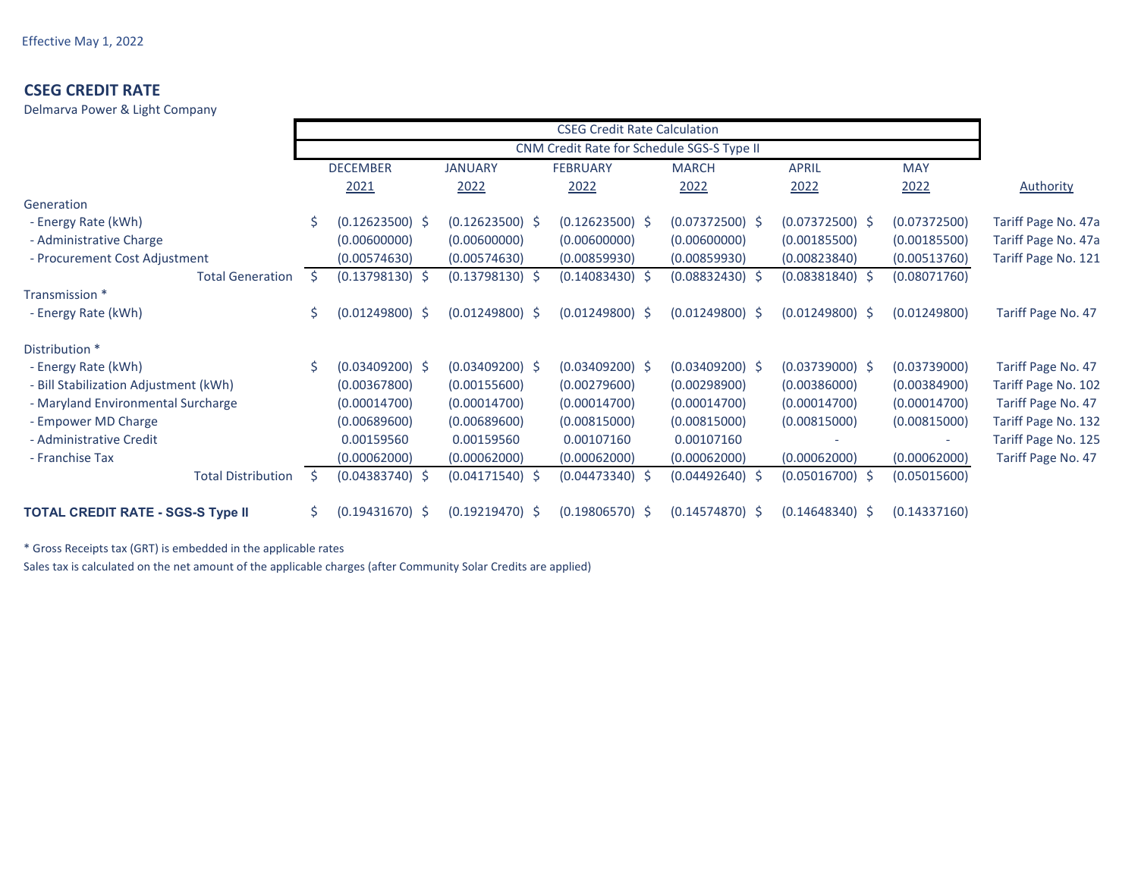Delmarva Power & Light Company

|                                          | <b>CSEG Credit Rate Calculation</b> |                   |                   |                   |                   |                   |              |                     |
|------------------------------------------|-------------------------------------|-------------------|-------------------|-------------------|-------------------|-------------------|--------------|---------------------|
|                                          |                                     |                   |                   |                   |                   |                   |              |                     |
|                                          |                                     | <b>DECEMBER</b>   | <b>JANUARY</b>    | <b>FEBRUARY</b>   | <b>MARCH</b>      | <b>APRIL</b>      | <b>MAY</b>   |                     |
|                                          |                                     | 2021              | 2022              | 2022              | 2022              | 2022              | 2022         | <b>Authority</b>    |
| Generation                               |                                     |                   |                   |                   |                   |                   |              |                     |
| - Energy Rate (kWh)                      |                                     | $(0.12623500)$ \$ | $(0.12623500)$ \$ | $(0.12623500)$ \$ | $(0.07372500)$ \$ | $(0.07372500)$ \$ | (0.07372500) | Tariff Page No. 47a |
| - Administrative Charge                  |                                     | (0.00600000)      | (0.00600000)      | (0.00600000)      | (0.00600000)      | (0.00185500)      | (0.00185500) | Tariff Page No. 47a |
| - Procurement Cost Adjustment            |                                     | (0.00574630)      | (0.00574630)      | (0.00859930)      | (0.00859930)      | (0.00823840)      | (0.00513760) | Tariff Page No. 121 |
| <b>Total Generation</b>                  | Ŝ.                                  | $(0.13798130)$ \$ | $(0.13798130)$ \$ | $(0.14083430)$ \$ | $(0.08832430)$ \$ | $(0.08381840)$ \$ | (0.08071760) |                     |
| Transmission *                           |                                     |                   |                   |                   |                   |                   |              |                     |
| - Energy Rate (kWh)                      | \$                                  | $(0.01249800)$ \$ | $(0.01249800)$ \$ | $(0.01249800)$ \$ | $(0.01249800)$ \$ | $(0.01249800)$ \$ | (0.01249800) | Tariff Page No. 47  |
| Distribution *                           |                                     |                   |                   |                   |                   |                   |              |                     |
| - Energy Rate (kWh)                      | Ś.                                  | $(0.03409200)$ \$ | $(0.03409200)$ \$ | $(0.03409200)$ \$ | $(0.03409200)$ \$ | $(0.03739000)$ \$ | (0.03739000) | Tariff Page No. 47  |
| - Bill Stabilization Adjustment (kWh)    |                                     | (0.00367800)      | (0.00155600)      | (0.00279600)      | (0.00298900)      | (0.00386000)      | (0.00384900) | Tariff Page No. 102 |
| - Maryland Environmental Surcharge       |                                     | (0.00014700)      | (0.00014700)      | (0.00014700)      | (0.00014700)      | (0.00014700)      | (0.00014700) | Tariff Page No. 47  |
| - Empower MD Charge                      |                                     | (0.00689600)      | (0.00689600)      | (0.00815000)      | (0.00815000)      | (0.00815000)      | (0.00815000) | Tariff Page No. 132 |
| - Administrative Credit                  |                                     | 0.00159560        | 0.00159560        | 0.00107160        | 0.00107160        |                   |              | Tariff Page No. 125 |
| - Franchise Tax                          |                                     | (0.00062000)      | (0.00062000)      | (0.00062000)      | (0.00062000)      | (0.00062000)      | (0.00062000) | Tariff Page No. 47  |
| <b>Total Distribution</b>                | Ŝ.                                  | $(0.04383740)$ \$ | $(0.04171540)$ \$ | $(0.04473340)$ \$ | $(0.04492640)$ \$ | $(0.05016700)$ \$ | (0.05015600) |                     |
| <b>TOTAL CREDIT RATE - SGS-S Type II</b> | Ś.                                  | $(0.19431670)$ \$ | $(0.19219470)$ \$ | $(0.19806570)$ \$ | $(0.14574870)$ \$ | $(0.14648340)$ \$ | (0.14337160) |                     |

\* Gross Receipts tax (GRT) is embedded in the applicable rates

Sales tax is calculated on the net amount of the applicable charges (after Community Solar Credits are applied)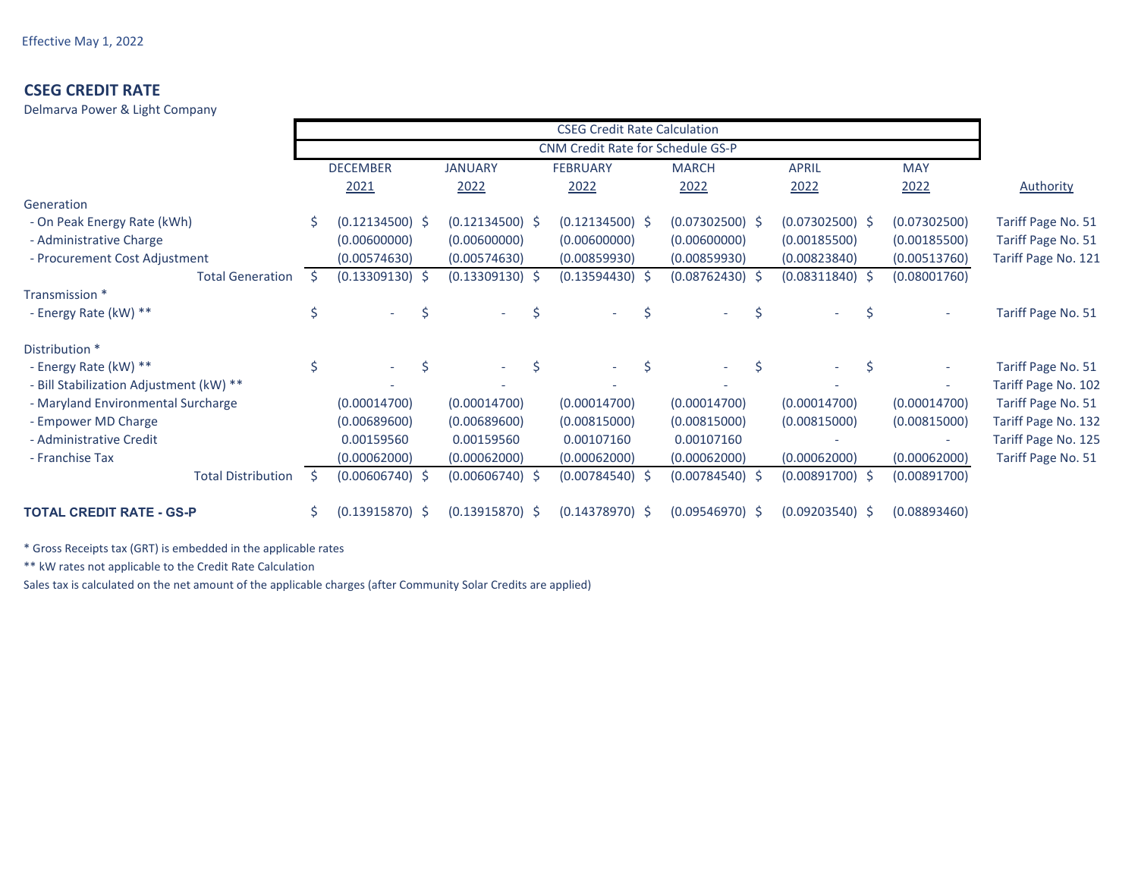Delmarva Power & Light Company

|                                         | <b>CSEG Credit Rate Calculation</b><br><b>CNM Credit Rate for Schedule GS-P</b> |                                |  |                   |                   |                   |                   |              |                     |
|-----------------------------------------|---------------------------------------------------------------------------------|--------------------------------|--|-------------------|-------------------|-------------------|-------------------|--------------|---------------------|
|                                         |                                                                                 |                                |  |                   |                   |                   |                   |              |                     |
|                                         |                                                                                 | <b>DECEMBER</b>                |  | <b>JANUARY</b>    | <b>FEBRUARY</b>   | <b>MARCH</b>      | <b>APRIL</b>      | <b>MAY</b>   |                     |
|                                         |                                                                                 | 2021                           |  | 2022              | 2022              | 2022              | 2022              | 2022         | <b>Authority</b>    |
| Generation                              |                                                                                 |                                |  |                   |                   |                   |                   |              |                     |
| - On Peak Energy Rate (kWh)             |                                                                                 | $(0.12134500)$ \$              |  | $(0.12134500)$ \$ | $(0.12134500)$ \$ | $(0.07302500)$ \$ | $(0.07302500)$ \$ | (0.07302500) | Tariff Page No. 51  |
| - Administrative Charge                 |                                                                                 | (0.00600000)                   |  | (0.00600000)      | (0.00600000)      | (0.00600000)      | (0.00185500)      | (0.00185500) | Tariff Page No. 51  |
| - Procurement Cost Adjustment           |                                                                                 | (0.00574630)                   |  | (0.00574630)      | (0.00859930)      | (0.00859930)      | (0.00823840)      | (0.00513760) | Tariff Page No. 121 |
| <b>Total Generation</b>                 |                                                                                 | $(0.13309130)$ \$              |  | $(0.13309130)$ \$ | $(0.13594430)$ \$ | $(0.08762430)$ \$ | $(0.08311840)$ \$ | (0.08001760) |                     |
| Transmission *                          |                                                                                 |                                |  |                   |                   |                   |                   |              |                     |
| - Energy Rate (kW) **                   | \$                                                                              | Ŝ.                             |  | Ś                 | Ś                 | Ŝ                 |                   |              | Tariff Page No. 51  |
| Distribution *                          |                                                                                 |                                |  |                   |                   |                   |                   |              |                     |
| - Energy Rate (kW) **                   |                                                                                 | \$<br>$\overline{\phantom{0}}$ |  | Ŝ.<br>$\sim$      | Ś                 | Ś<br>$\sim$       | $\sim$            |              | Tariff Page No. 51  |
| - Bill Stabilization Adjustment (kW) ** |                                                                                 |                                |  |                   |                   |                   |                   |              | Tariff Page No. 102 |
| - Maryland Environmental Surcharge      |                                                                                 | (0.00014700)                   |  | (0.00014700)      | (0.00014700)      | (0.00014700)      | (0.00014700)      | (0.00014700) | Tariff Page No. 51  |
| - Empower MD Charge                     |                                                                                 | (0.00689600)                   |  | (0.00689600)      | (0.00815000)      | (0.00815000)      | (0.00815000)      | (0.00815000) | Tariff Page No. 132 |
| - Administrative Credit                 |                                                                                 | 0.00159560                     |  | 0.00159560        | 0.00107160        | 0.00107160        |                   |              | Tariff Page No. 125 |
| - Franchise Tax                         |                                                                                 | (0.00062000)                   |  | (0.00062000)      | (0.00062000)      | (0.00062000)      | (0.00062000)      | (0.00062000) | Tariff Page No. 51  |
| <b>Total Distribution</b>               | <sub>S</sub>                                                                    | $(0.00606740)$ \$              |  | $(0.00606740)$ \$ | $(0.00784540)$ \$ | $(0.00784540)$ \$ | $(0.00891700)$ \$ | (0.00891700) |                     |
| <b>TOTAL CREDIT RATE - GS-P</b>         | \$                                                                              | $(0.13915870)$ \$              |  | $(0.13915870)$ \$ | $(0.14378970)$ \$ | $(0.09546970)$ \$ | $(0.09203540)$ \$ | (0.08893460) |                     |

\* Gross Receipts tax (GRT) is embedded in the applicable rates

\*\* kW rates not applicable to the Credit Rate Calculation

Sales tax is calculated on the net amount of the applicable charges (after Community Solar Credits are applied)